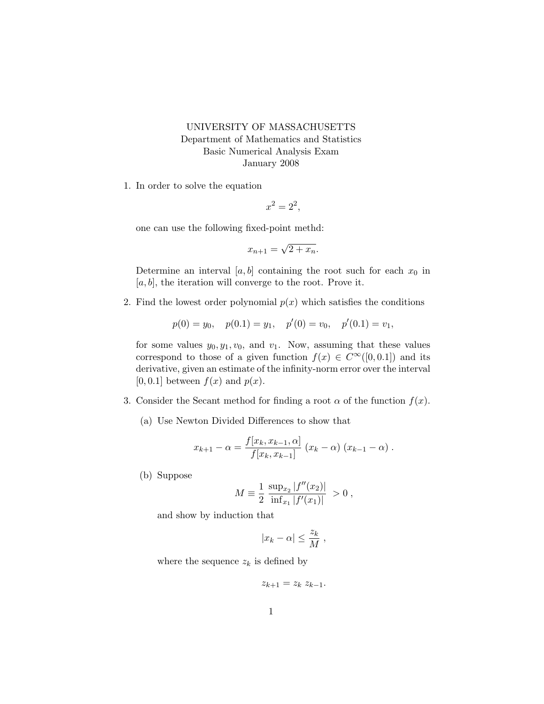## UNIVERSITY OF MASSACHUSETTS Department of Mathematics and Statistics Basic Numerical Analysis Exam January 2008

1. In order to solve the equation

$$
x^2 = 2^2,
$$

one can use the following fixed-point methd:

$$
x_{n+1} = \sqrt{2 + x_n}.
$$

Determine an interval  $[a, b]$  containing the root such for each  $x_0$  in  $[a, b]$ , the iteration will converge to the root. Prove it.

2. Find the lowest order polynomial  $p(x)$  which satisfies the conditions

$$
p(0) = y_0
$$
,  $p(0.1) = y_1$ ,  $p'(0) = v_0$ ,  $p'(0.1) = v_1$ ,

for some values  $y_0, y_1, v_0$ , and  $v_1$ . Now, assuming that these values correspond to those of a given function  $f(x) \in C^{\infty}([0, 0.1])$  and its derivative, given an estimate of the infinity-norm error over the interval [0, 0.1] between  $f(x)$  and  $p(x)$ .

- 3. Consider the Secant method for finding a root  $\alpha$  of the function  $f(x)$ .
	- (a) Use Newton Divided Differences to show that

$$
x_{k+1} - \alpha = \frac{f[x_k, x_{k-1}, \alpha]}{f[x_k, x_{k-1}]} (x_k - \alpha) (x_{k-1} - \alpha) .
$$

(b) Suppose

$$
M \equiv \frac{1}{2} \frac{\sup_{x_2} |f''(x_2)|}{\inf_{x_1} |f'(x_1)|} > 0,
$$

and show by induction that

$$
|x_k - \alpha| \le \frac{z_k}{M} \;,
$$

where the sequence  $z_k$  is defined by

$$
z_{k+1} = z_k \ z_{k-1}.
$$